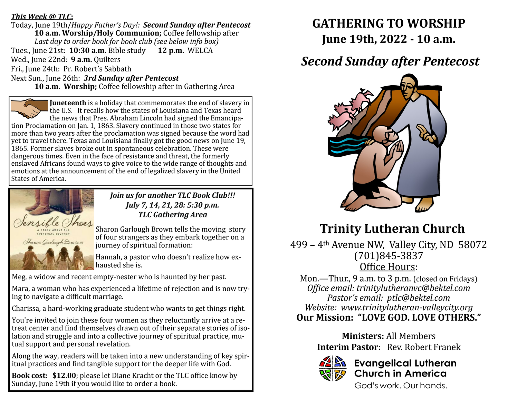#### *This Week @ TLC***:**

Today, June 19th/*Happy Father's Day!: Second Sunday after Pentecost* **10 a.m. Worship/Holy Communion;** Coffee fellowship after *Last day to order book for book club (see below info box)* Tues., June 21st: **10:30 a.m.** Bible study **12 p.m.** WELCA Wed., June 22nd: **9 a.m.** Quilters Fri., June 24th: Pr. Robert's Sabbath Next Sun., June 26th: *3rd Sunday after Pentecost*

**10 a.m. Worship;** Coffee fellowship after in Gathering Area

**Juneteenth** is a holiday that commemorates the end of slavery in the U.S. It recalls how the states of Louisiana and Texas heard the news that Pres. Abraham Lincoln had signed the Emancipation Proclamation on Jan. 1, 1863. Slavery continued in those two states for more than two years after the proclamation was signed because the word had yet to travel there. Texas and Louisiana finally got the good news on June 19, 1865. Former slaves broke out in spontaneous celebration. These were dangerous times. Even in the face of resistance and threat, the formerly enslaved Africans found ways to give voice to the wide range of thoughts and emotions at the announcement of the end of legalized slavery in the United States of America.



*Join us for another TLC Book Club!!! July 7, 14, 21, 28: 5:30 p.m. TLC Gathering Area*

Sharon Garlough Brown tells the moving story of four strangers as they embark together on a journey of spiritual formation:

Hannah, a pastor who doesn't realize how exhausted she is.

Meg, a widow and recent empty-nester who is haunted by her past.

Mara, a woman who has experienced a lifetime of rejection and is now trying to navigate a difficult marriage.

Charissa, a hard-working graduate student who wants to get things right.

You're invited to join these four women as they reluctantly arrive at a retreat center and find themselves drawn out of their separate stories of isolation and struggle and into a collective journey of spiritual practice, mutual support and personal revelation.

Along the way, readers will be taken into a new understanding of key spiritual practices and find tangible support for the deeper life with God.

**Book cost: \$12.00**; please let Diane Kracht or the TLC office know by Sunday, June 19th if you would like to order a book.

# **GATHERING TO WORSHIP**

**June 19th, 2022 - 10 a.m.**

### *Second Sunday after Pentecost*



## **Trinity Lutheran Church**

499 – 4th Avenue NW, Valley City, ND 58072 (701)845-3837 Office Hours:

Mon.—Thur., 9 a.m. to 3 p.m. (closed on Fridays) *Office email: trinitylutheranvc@bektel.com Pastor's email: ptlc@bektel.com Website: www.trinitylutheran-valleycity.org* **Our Mission: "LOVE GOD. LOVE OTHERS."**

> **Ministers:** All Members **Interim Pastor:** Rev. Robert Franek



### **Evangelical Lutheran Church in America**

God's work, Our hands.